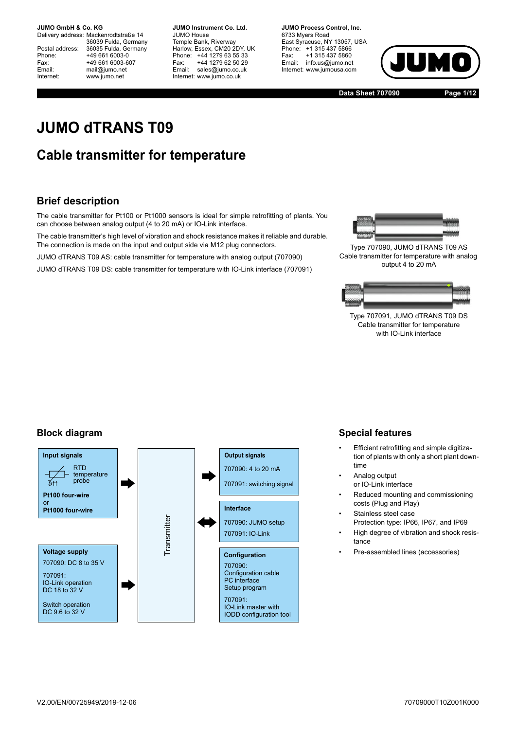Delivery address: Mackenrodtstraße 14 36039 Fulda, Germany Postal address: 36035 Fulda, Germany<br>Phone: +49 661 6003-0 Phone: +49 661 6003-0<br>Fax: +49 661 6003-6 Fax: +49 661 6003-607<br>
Fmail: mail@iumo.net mail@jumo.net Internet: www.jumo.net

**-BUMO Instrument Co. Ltd.** JUMO House Temple Bank, Riverway Harlow, Essex, CM20 2DY, UK Phone: +44 1279 63 55 33<br>Fax: +44 1279 62 50 29 Fax: +44 1279 62 50 29<br>Email: sales@iumo.co.uk sales@jumo.co.uk Internet: www.jumo.co.uk

**-BURG Process Control Inc.** 6733 Myers Road East Syracuse, NY 13057, USA Phone: +1 315 437 5866<br>Fax: +1 315 437 5860 Fax: +1 315 437 5860<br>Email: info.us@jumo.net info.us@jumo.net Internet: www.jumousa.com



**Data Sheet 707090 Page 1/12**

# **JUMO dTRANS T09**

## **Cable transmitter for temperature**

### **Brief description**

The cable transmitter for Pt100 or Pt1000 sensors is ideal for simple retrofitting of plants. You can choose between analog output (4 to 20 mA) or IO-Link interface.

The cable transmitter's high level of vibration and shock resistance makes it reliable and durable. The connection is made on the input and output side via M12 plug connectors.

JUMO dTRANS T09 AS: cable transmitter for temperature with analog output (707090)

JUMO dTRANS T09 DS: cable transmitter for temperature with IO-Link interface (707091)



Type 707090, JUMO dTRANS T09 AS Cable transmitter for temperature with analog output 4 to 20 mA



Type 707091, JUMO dTRANS T09 DS Cable transmitter for temperature with IO-Link interface

### **Block diagram**



### **Special features**

- Efficient retrofitting and simple digitization of plants with only a short plant downtime
- Analog output or IO-Link interface
- Reduced mounting and commissioning costs (Plug and Play)
- Stainless steel case Protection type: IP66, IP67, and IP69
- High degree of vibration and shock resistance
- Pre-assembled lines (accessories)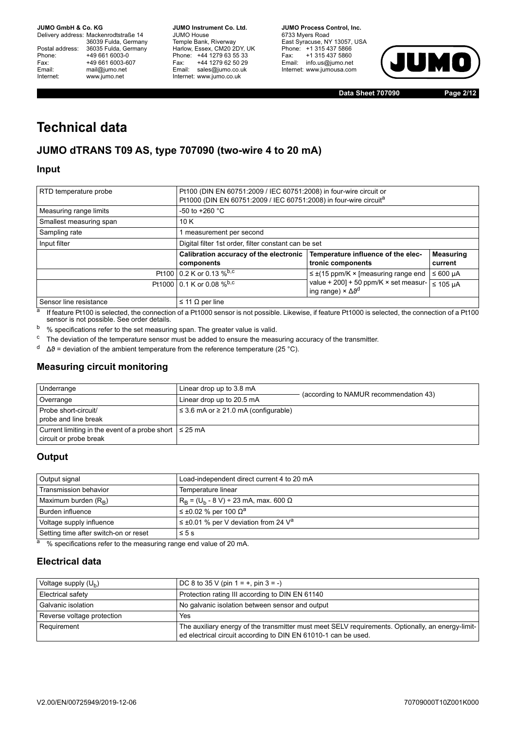Delivery address: Mackenrodtstraße 14 36039 Fulda, Germany Postal address: 36035 Fulda, Germany<br>Phone: +49 661 6003-0 Phone: +49 661 6003-0<br>
Fax: +49 661 6003-6<br>
Email: mail@iumo.net +49 661 6003-607 mail@jumo.net Internet: www.jumo.net

**JUMO Instrument Co. Ltd.** JUMO House Temple Bank, Riverway<br>Harlow, Essex, CM20 2DY, UK Phone: +44 1279 63 55 33<br>Fax: +44 1279 62 50 29 +44 1279 62 50 29 Email: sales@jumo.co.uk Internet: www.jumo.co.uk

**JUMO Process Control, Inc.** 6733 Myers Road East Syracuse, NY 13057, USA Phone: +1 315 437 5866<br>Fax: +1 315 437 5860 Email: info.us@jumo.net Internet: www.jumousa.com



**Data Sheet 707090 Page 2/12**

# **Technical data**

### **JUMO dTRANS T09 AS, type 707090 (two-wire 4 to 20 mA)**

#### **Input**

| RTD temperature probe   | Pt100 (DIN EN 60751:2009 / IEC 60751:2008) in four-wire circuit or<br>Pt1000 (DIN EN 60751:2009 / IEC 60751:2008) in four-wire circuit <sup>a</sup> |                                                                                        |                             |
|-------------------------|-----------------------------------------------------------------------------------------------------------------------------------------------------|----------------------------------------------------------------------------------------|-----------------------------|
| Measuring range limits  | -50 to +260 $^{\circ}$ C                                                                                                                            |                                                                                        |                             |
| Smallest measuring span | 10 K                                                                                                                                                |                                                                                        |                             |
| Sampling rate           | 1 measurement per second                                                                                                                            |                                                                                        |                             |
| Input filter            | Digital filter 1st order, filter constant can be set                                                                                                |                                                                                        |                             |
|                         | Calibration accuracy of the electronic<br>components                                                                                                | Temperature influence of the elec-<br>tronic components                                | <b>Measuring</b><br>current |
|                         | Pt100 0.2 K or 0.13 %b,c                                                                                                                            | $\leq \pm (15 \text{ ppm/K} \times \text{[measuring range end}$                        | ≤ 600 µA                    |
|                         | Pt1000 0.1 K or 0.08 % b,c                                                                                                                          | value + 200] + 50 ppm/K $\times$ set measur-<br>ing range) $\times \Delta \vartheta^d$ | $\leq 105$ µA               |
| Sensor line resistance  | $\leq$ 11 $\Omega$ per line                                                                                                                         |                                                                                        |                             |

a If feature Pt100 is selected, the connection of a Pt1000 sensor is not possible. Likewise, if feature Pt1000 is selected, the connection of a Pt100 sensor is not possible. See order details.

<span id="page-1-0"></span>b % specifications refer to the set measuring span. The greater value is valid.

<span id="page-1-1"></span><sup>c</sup> The deviation of the temperature sensor must be added to ensure the measuring accuracy of the transmitter.

 $d \Delta\vartheta$  = deviation of the ambient temperature from the reference temperature (25 °C).

#### **Measuring circuit monitoring**

| Underrange                                                                            | Linear drop up to 3.8 mA                       |                                        |
|---------------------------------------------------------------------------------------|------------------------------------------------|----------------------------------------|
| Overrange                                                                             | Linear drop up to 20.5 mA                      | (according to NAMUR recommendation 43) |
| Probe short-circuit/<br>probe and line break                                          | $\leq$ 3.6 mA or $\geq$ 21.0 mA (configurable) |                                        |
| Current limiting in the event of a probe short $\leq 25$ mA<br>circuit or probe break |                                                |                                        |

#### **Output**

| Output signal                         | Load-independent direct current 4 to 20 mA               |
|---------------------------------------|----------------------------------------------------------|
| Transmission behavior                 | Temperature linear                                       |
| Maximum burden $(R_B)$                | $R_R = (U_h - 8 V) \div 23$ mA, max. 600 Ω               |
| Burden influence                      | $\leq \pm 0.02$ % per 100 $\Omega^a$                     |
| Voltage supply influence              | $\leq \pm 0.01$ % per V deviation from 24 V <sup>a</sup> |
| Setting time after switch-on or reset | $\leq 5$ s                                               |

<span id="page-1-2"></span> $\frac{a}{a}$  % specifications refer to the measuring range end value of 20 mA.

### **Electrical data**

| Voltage supply $(U_h)$     | $DC 8$ to 35 V (pin 1 = +, pin 3 = -)                                                                                                                               |
|----------------------------|---------------------------------------------------------------------------------------------------------------------------------------------------------------------|
| Electrical safety          | Protection rating III according to DIN EN 61140                                                                                                                     |
| Galvanic isolation         | No galvanic isolation between sensor and output                                                                                                                     |
| Reverse voltage protection | Yes                                                                                                                                                                 |
| Requirement                | The auxiliary energy of the transmitter must meet SELV requirements. Optionally, an energy-limit-<br>ed electrical circuit according to DIN EN 61010-1 can be used. |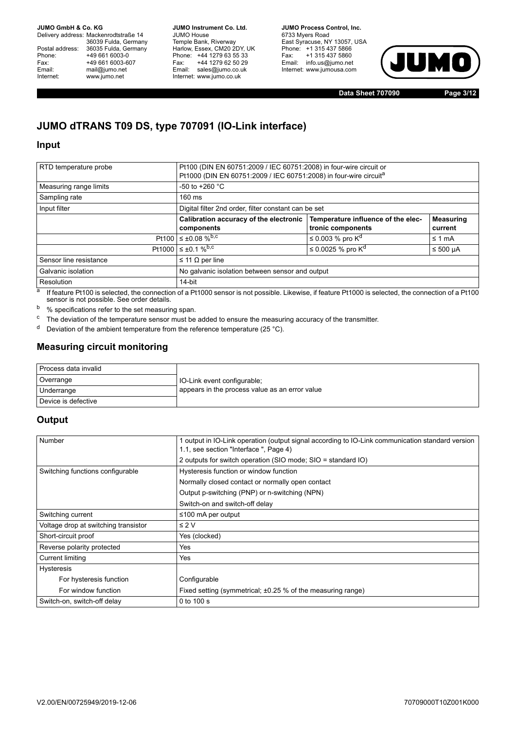Delivery address: Mackenrodtstraße 14 36039 Fulda, Germany Postal address: 36035 Fulda, Germany<br>Phone: +49 661 6003-0 Phone: +49 661 6003-0<br>
Fax: +49 661 6003-6<br>
Email: mail@jumo.net +49 661 6003-607 mail@jumo.net Internet: www.jumo.net

**JUMO Instrument Co. Ltd.** JUMO House Temple Bank, Riverway<br>Harlow, Essex, CM20 2DY, UK Phone: +44 1279 63 55 33<br>Fax: +44 1279 62 50 29 +44 1279 62 50 29 Email: sales@jumo.co.uk Internet: www.jumo.co.uk

**JUMO Process Control, Inc.** 6733 Myers Road East Syracuse, NY 13057, USA Phone: +1 315 437 5866<br>Fax: +1 315 437 5860 Email: info.us@jumo.net Internet: www.jumousa.com



**Data Sheet 707090 Page 3/12**

## **JUMO dTRANS T09 DS, type 707091 (IO-Link interface)**

#### **Input**

| RTD temperature probe  | Pt100 (DIN EN 60751:2009 / IEC 60751:2008) in four-wire circuit or<br>Pt1000 (DIN EN 60751:2009 / IEC 60751:2008) in four-wire circuita |                                    |                  |
|------------------------|-----------------------------------------------------------------------------------------------------------------------------------------|------------------------------------|------------------|
| Measuring range limits | -50 to +260 $^{\circ}$ C                                                                                                                |                                    |                  |
| Sampling rate          | $160 \text{ ms}$                                                                                                                        |                                    |                  |
| Input filter           | Digital filter 2nd order, filter constant can be set                                                                                    |                                    |                  |
|                        | Calibration accuracy of the electronic                                                                                                  | Temperature influence of the elec- | <b>Measuring</b> |
|                        | components                                                                                                                              | tronic components                  | current          |
|                        | Pt100 $\leq \pm 0.08$ % <sup>b,c</sup>                                                                                                  | ≤ 0.003 % pro $K^d$                | $\leq 1$ mA      |
|                        | Pt1000 $\leq \pm 0.1$ % <sup>b,c</sup>                                                                                                  | ≤ 0.0025 % pro K <sup>d</sup>      | $≤ 500 \mu A$    |
| Sensor line resistance | $\leq$ 11 $\Omega$ per line                                                                                                             |                                    |                  |
| Galvanic isolation     | No galvanic isolation between sensor and output                                                                                         |                                    |                  |
| Resolution             | 14-bit                                                                                                                                  |                                    |                  |

a If feature Pt100 is selected, the connection of a Pt1000 sensor is not possible. Likewise, if feature Pt1000 is selected, the connection of a Pt100 sensor is not possible. See order details.

<span id="page-2-0"></span>b % specifications refer to the set measuring span.

<span id="page-2-1"></span><sup>c</sup> The deviation of the temperature sensor must be added to ensure the measuring accuracy of the transmitter.

<span id="page-2-2"></span> $d$  Deviation of the ambient temperature from the reference temperature (25 °C).

### **Measuring circuit monitoring**

| Process data invalid |                                                |
|----------------------|------------------------------------------------|
| Overrange            | 10-Link event configurable;                    |
| Underrange           | appears in the process value as an error value |
| Device is defective  |                                                |

#### **Output**

| Number                               | 1 output in IO-Link operation (output signal according to IO-Link communication standard version<br>1.1, see section "Interface", Page 4) |  |
|--------------------------------------|-------------------------------------------------------------------------------------------------------------------------------------------|--|
|                                      | 2 outputs for switch operation (SIO mode; SIO = standard IO)                                                                              |  |
| Switching functions configurable     | Hysteresis function or window function                                                                                                    |  |
|                                      | Normally closed contact or normally open contact                                                                                          |  |
|                                      | Output p-switching (PNP) or n-switching (NPN)                                                                                             |  |
|                                      | Switch-on and switch-off delay                                                                                                            |  |
| Switching current                    | $\leq$ 100 mA per output                                                                                                                  |  |
| Voltage drop at switching transistor | $\leq 2$ V                                                                                                                                |  |
| Short-circuit proof                  | Yes (clocked)                                                                                                                             |  |
| Reverse polarity protected           | Yes                                                                                                                                       |  |
| Current limiting                     | Yes                                                                                                                                       |  |
| <b>Hysteresis</b>                    |                                                                                                                                           |  |
| For hysteresis function              | Configurable                                                                                                                              |  |
| For window function                  | Fixed setting (symmetrical; $\pm 0.25$ % of the measuring range)                                                                          |  |
| Switch-on, switch-off delay          | 0 to 100 s                                                                                                                                |  |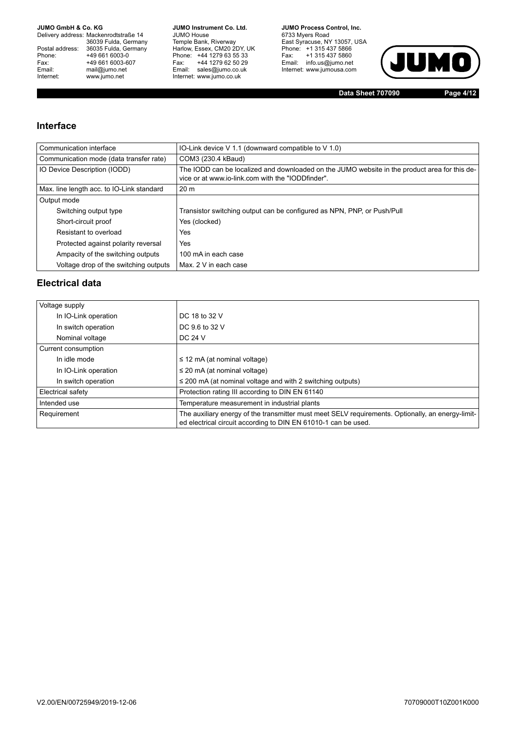Delivery address: Mackenrodtstraße 14 36039 Fulda, Germany<br>Postal address: 36035 Fulda, Germany Phone: +49 661 6003-0<br>
Fax: +49 661 6003-6<br>
Email: mail@jumo.net +49 661 6003-607 Email: mail@jumo.net<br>Internet: www.iumo.net www.jumo.net

**JUMO Instrument Co. Ltd.** JUMO House Temple Bank, Riverway<br>Harlow, Essex, CM20 2DY, UK<br>Phone: +44 1279 63 55 33 Fax: +44 1279 62 50 29<br>Email: sales@jumo.co.uk Internet: www.jumo.co.uk

**JUMO Process Control. Inc.** 6733 Myers Road East Syracuse, NY 13057, USA<br>Phone: +1 315 437 5866<br>Fax: +1 315 437 5860 Email: info.us@jumo.net Internet: www.jumousa.com



**Data Sheet 707090 Page 4/12**

#### <span id="page-3-0"></span>**Interface**

| Communication interface                   | IO-Link device V 1.1 (downward compatible to V 1.0)                                                                                                |
|-------------------------------------------|----------------------------------------------------------------------------------------------------------------------------------------------------|
| Communication mode (data transfer rate)   | COM3 (230.4 kBaud)                                                                                                                                 |
| IO Device Description (IODD)              | The IODD can be localized and downloaded on the JUMO website in the product area for this de-<br>vice or at www.io-link.com with the "IODDfinder". |
| Max. line length acc. to IO-Link standard | 20 <sub>m</sub>                                                                                                                                    |
| Output mode                               |                                                                                                                                                    |
| Switching output type                     | Transistor switching output can be configured as NPN, PNP, or Push/Pull                                                                            |
| Short-circuit proof                       | Yes (clocked)                                                                                                                                      |
| Resistant to overload                     | Yes                                                                                                                                                |
| Protected against polarity reversal       | Yes                                                                                                                                                |
| Ampacity of the switching outputs         | 100 mA in each case                                                                                                                                |
| Voltage drop of the switching outputs     | Max. 2 V in each case                                                                                                                              |
|                                           |                                                                                                                                                    |

### **Electrical data**

| Voltage supply       |                                                                                                                                                                     |
|----------------------|---------------------------------------------------------------------------------------------------------------------------------------------------------------------|
| In IO-Link operation | DC 18 to 32 V                                                                                                                                                       |
| In switch operation  | DC 9.6 to 32 V                                                                                                                                                      |
| Nominal voltage      | DC 24 V                                                                                                                                                             |
| Current consumption  |                                                                                                                                                                     |
| In idle mode         | $\leq$ 12 mA (at nominal voltage)                                                                                                                                   |
| In IO-Link operation | $\leq$ 20 mA (at nominal voltage)                                                                                                                                   |
| In switch operation  | $\leq$ 200 mA (at nominal voltage and with 2 switching outputs)                                                                                                     |
| Electrical safety    | Protection rating III according to DIN EN 61140                                                                                                                     |
| Intended use         | Temperature measurement in industrial plants                                                                                                                        |
| Requirement          | The auxiliary energy of the transmitter must meet SELV requirements. Optionally, an energy-limit-<br>ed electrical circuit according to DIN EN 61010-1 can be used. |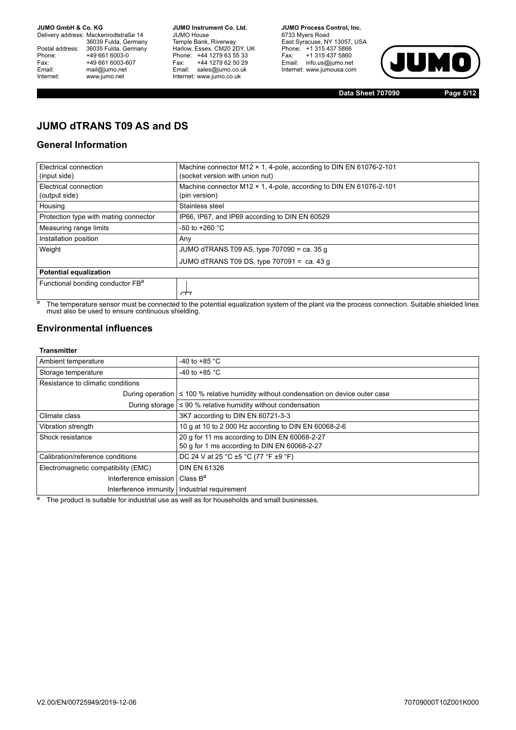Delivery address: Mackenrodtstraße 14 36039 Fulda, Germany<br>Postal address: 36035 Fulda, Germany Phone: +49 661 6003-0<br>
Fax: +49 661 6003-6<br>
Email: mail@jumo.net +49 661 6003-607 Email: mail@jumo.net<br>Internet: www.jumo.net www.jumo.net

**JUMO Instrument Co. Ltd.** JUMO House Temple Bank, Riverway<br>Harlow, Essex, CM20 2DY, UK Phone: +44 1279 63 55 33<br>Fax: +44 1279 62 50 29 +44 1279 62 50 29 Email: sales@jumo.co.uk Internet: www.jumo.co.uk

**JUMO Process Control, Inc.** 6733 Myers Road East Syracuse, NY 13057, USA Phone: +1 315 437 5866<br>Fax: +1 315 437 5860 Email: info.us@jumo.net Internet: www.jumousa.com



**Data Sheet 707090 Page 5/12**

## **JUMO dTRANS T09 AS and DS**

### **General Information**

| Electrical connection<br>(input side)        | Machine connector M12 $\times$ 1, 4-pole, according to DIN EN 61076-2-101<br>(socket version with union nut) |
|----------------------------------------------|--------------------------------------------------------------------------------------------------------------|
| Electrical connection<br>(output side)       | Machine connector M12 × 1, 4-pole, according to DIN EN 61076-2-101<br>(pin version)                          |
| Housing                                      | Stainless steel                                                                                              |
| Protection type with mating connector        | IP66, IP67, and IP69 according to DIN EN 60529                                                               |
| Measuring range limits                       | $-50$ to $+260$ °C                                                                                           |
| Installation position                        | Any                                                                                                          |
| Weight                                       | JUMO dTRANS T09 AS, type $707090 = ca$ . 35 q                                                                |
|                                              | JUMO dTRANS T09 DS, type $707091 = ca.43 q$                                                                  |
| <b>Potential equalization</b>                |                                                                                                              |
| Functional bonding conductor FB <sup>a</sup> |                                                                                                              |

a<br>a The temperature sensor must be connected to the potential equalization system of the plant via the process connection. Suitable shielded lines must also be used to ensure continuous shielding.

### **Environmental influences**

#### **Transmitter**

| Ambient temperature                          | -40 to +85 $^{\circ}$ C                                                                   |
|----------------------------------------------|-------------------------------------------------------------------------------------------|
| Storage temperature                          | -40 to +85 $^{\circ}$ C                                                                   |
| Resistance to climatic conditions            |                                                                                           |
|                                              | During operation $\leq 100$ % relative humidity without condensation on device outer case |
|                                              | During storage $\leq 90$ % relative humidity without condensation                         |
| Climate class                                | 3K7 according to DIN EN 60721-3-3                                                         |
| Vibration strength                           | 10 g at 10 to 2 000 Hz according to DIN EN 60068-2-6                                      |
| Shock resistance                             | 20 q for 11 ms according to DIN EN 60068-2-27                                             |
|                                              | 50 g for 1 ms according to DIN EN 60068-2-27                                              |
| Calibration/reference conditions             | DC 24 V at 25 °C ±5 °C (77 °F ±9 °F)                                                      |
| Electromagnetic compatibility (EMC)          | <b>DIN EN 61326</b>                                                                       |
| Interference emission   Class B <sup>a</sup> |                                                                                           |
|                                              | Interference immunity   Industrial requirement                                            |

 $a$  The product is suitable for industrial use as well as for households and small businesses.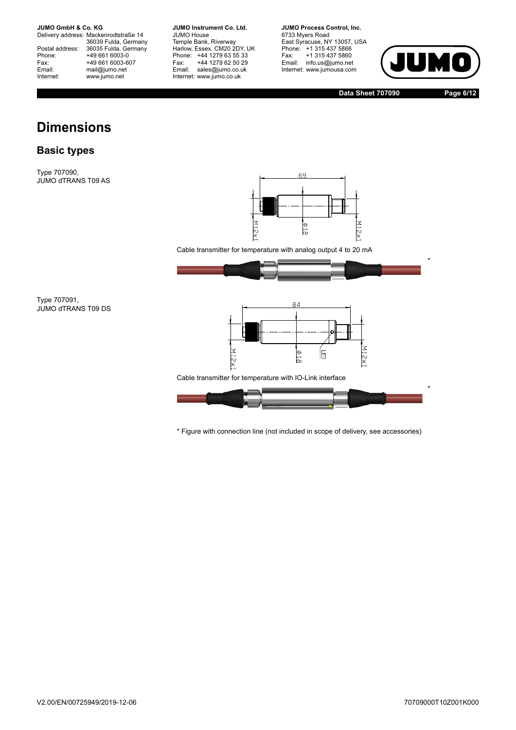Delivery address: Mackenrodtstraße 14 36039 Fulda, Germany<br>Postal address: 36035 Fulda, Germany Phone: +49 661 6003-0<br>
Fax: +49 661 6003-6<br>
Email: mail@jumo.net +49 661 6003-607 Email: mail@jumo.net<br>Internet: www.iumo.net www.jumo.net

**JUMO Instrument Co. Ltd.** JUMO House Temple Bank, Riverway<br>Harlow, Essex, CM20 2DY, UK Phone: +44 1279 63 55 33<br>Fax: +44 1279 62 50 29 +44 1279 62 50 29 Email: sales@jumo.co.uk Internet: www.jumo.co.uk

**JUMO Process Control, Inc.** 6733 Myers Road East Syracuse, NY 13057, USA<br>Phone: +1 315 437 5866<br>Fax: +1 315 437 5860 Email: info.us@jumo.net Internet: www.jumousa.com



**Data Sheet 707090 Page 6/12**

# **Dimensions**

### **Basic types**

Type 707090, JUMO dTRANS T09 AS



Cable transmitter for temperature with analog output 4 to 20 mA



Type 707091, JUMO dTRANS T09 DS



Cable transmitter for temperature with IO-Link interface



\* Figure with connection line (not included in scope of delivery, see accessories)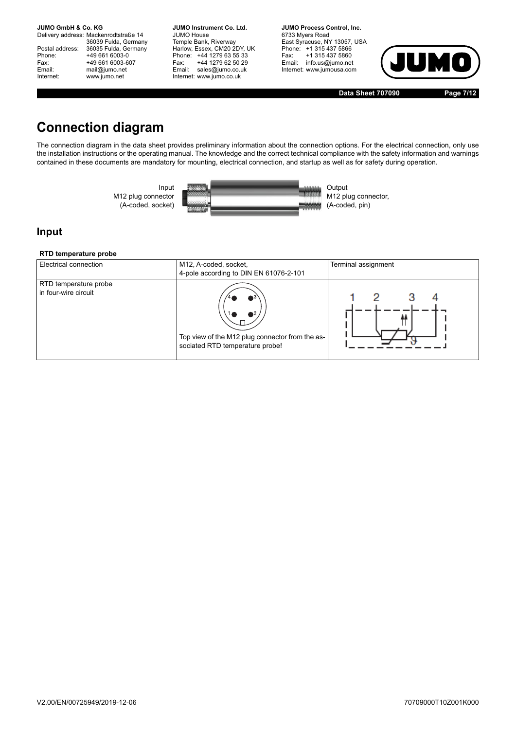Delivery address: Mackenrodtstraße 14 36039 Fulda, Germany<br>Postal address: 36035 Fulda, Germany Phone: +49 661 6003-0<br>
Fax: +49 661 6003-6<br>
Email: mail@jumo.net +49 661 6003-607 mail@jumo.net Internet: www.jumo.net

**JUMO Instrument Co. Ltd.** JUMO House Temple Bank, Riverway<br>Harlow, Essex, CM20 2DY, UK Phone: +44 1279 63 55 33<br>Fax: +44 1279 62 50 29 +44 1279 62 50 29 Email: sales@jumo.co.uk Internet: www.jumo.co.uk

**JUMO Process Control, Inc.** 6733 Myers Road East Syracuse, NY 13057, USA Phone: +1 315 437 5866<br>Fax: +1 315 437 5860 Email: info.us@jumo.net Internet: www.jumousa.com



**Data Sheet 707090 Page 7/12**

# **Connection diagram**

The connection diagram in the data sheet provides preliminary information about the connection options. For the electrical connection, only use the installation instructions or the operating manual. The knowledge and the correct technical compliance with the safety information and warnings contained in these documents are mandatory for mounting, electrical connection, and startup as well as for safety during operation.



### **Input**

#### **RTD temperature probe**

| Electrical connection                         | M12, A-coded, socket,<br>4-pole according to DIN EN 61076-2-101                          | Terminal assignment |
|-----------------------------------------------|------------------------------------------------------------------------------------------|---------------------|
| RTD temperature probe<br>in four-wire circuit | N2<br>Top view of the M12 plug connector from the as-<br>sociated RTD temperature probe! |                     |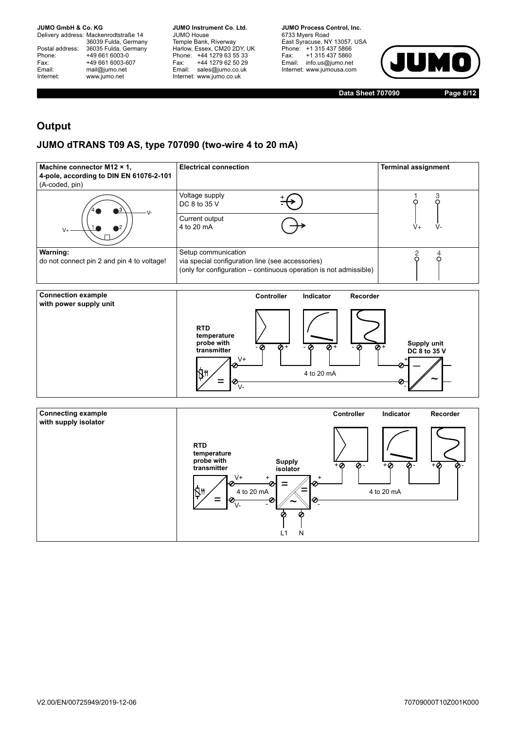Delivery address: Mackenrodtstraße 14 36039 Fulda, Germany<br>Postal address: 36035 Fulda, Germany Phone: +49 661 6003-0<br>
Fax: +49 661 6003-6<br>
Email: mail@jumo.net +49 661 6003-607 mail@jumo.net Internet: www.jumo.net

**JUMO Instrument Co. Ltd.** JUMO House Temple Bank, Riverway<br>Harlow, Essex, CM20 2DY, UK Phone: +44 1279 63 55 33<br>Fax: +44 1279 62 50 29 +44 1279 62 50 29 Email: sales@jumo.co.uk Internet: www.jumo.co.uk

**JUMO Process Control, Inc.** 6733 Myers Road East Syracuse, NY 13057, USA Phone: +1 315 437 5866<br>Fax: +1 315 437 5860 Email: info.us@jumo.net Internet: www.jumousa.com



**Data Sheet 707090 Page 8/12**

### **Output**

### **JUMO dTRANS T09 AS, type 707090 (two-wire 4 to 20 mA)**

| Machine connector M12 × 1,<br>4-pole, according to DIN EN 61076-2-101<br>(A-coded, pin) | <b>Electrical connection</b>                                                                                                                 | <b>Terminal assignment</b> |
|-----------------------------------------------------------------------------------------|----------------------------------------------------------------------------------------------------------------------------------------------|----------------------------|
| ıЗ<br>$\mathcal{N}$                                                                     | Voltage supply<br>DC 8 to 35 V<br>Current output<br>4 to 20 mA                                                                               | V-<br>$V +$                |
| Warning:<br>do not connect pin 2 and pin 4 to voltage!                                  | Setup communication<br>via special configuration line (see accessories)<br>(only for configuration - continuous operation is not admissible) |                            |



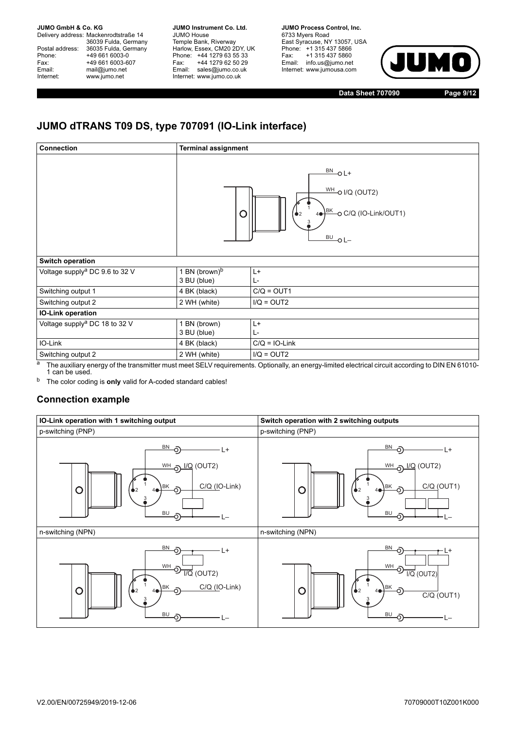Delivery address: Mackenrodtstraße 14 36039 Fulda, Germany Postal address: 36035 Fulda, Germany<br>Phone: +49 661 6003-0 Phone: +49 661 6003-0<br>Fax: +49 661 6003-6 Fax: +49 661 6003-607<br>
Email: mail@jumo.net mail@jumo.net Internet: www.jumo.net

**JUMO Instrument Co. Ltd.** JUMO House Temple Bank, Riverway<br>Harlow, Essex, CM20 2DY, UK Phone: +44 1279 63 55 33<br>Fax: +44 1279 62 50 29 +44 1279 62 50 29 Email: sales@jumo.co.uk Internet: www.jumo.co.uk

**JUMO Process Control, Inc.** 6733 Myers Road East Syracuse, NY 13057, USA Phone: +1 315 437 5866<br>Fax: +1 315 437 5860 +1 315 437 5860 Email: info.us@jumo.net Internet: www.jumousa.com



**Data Sheet 707090 Page 9/12**

## **JUMO dTRANS T09 DS, type 707091 (IO-Link interface)**

| <b>Connection</b>                          | <b>Terminal assignment</b>               |                                                                                                                                   |
|--------------------------------------------|------------------------------------------|-----------------------------------------------------------------------------------------------------------------------------------|
|                                            |                                          | $\frac{BN}{C}$ OL+<br>$\frac{\text{WH}}{\text{O}}$ I/Q (OUT2)<br>4 <sup>BK</sup> o C/Q (IO-Link/OUT1)<br>$\clubsuit$<br>$BU$ O L- |
| <b>Switch operation</b>                    |                                          |                                                                                                                                   |
| Voltage supply <sup>a</sup> DC 9.6 to 32 V | 1 BN (brown) <sup>b</sup><br>3 BU (blue) | L+<br>Ŀ.                                                                                                                          |
| Switching output 1                         | 4 BK (black)                             | $C/Q = OUT1$                                                                                                                      |
| Switching output 2                         | 2 WH (white)                             | $I/Q = OUT2$                                                                                                                      |
| <b>IO-Link operation</b>                   |                                          |                                                                                                                                   |
| Voltage supply <sup>a</sup> DC 18 to 32 V  | 1 BN (brown)<br>3 BU (blue)              | L+<br>Ŀ-                                                                                                                          |
| IO-Link                                    | 4 BK (black)                             | $C/Q = IO-Link$                                                                                                                   |
| Switching output 2                         | 2 WH (white)                             | $I/Q = OUT2$                                                                                                                      |

<span id="page-8-0"></span> $a$  The auxiliary energy of the transmitter must meet SELV requirements. Optionally, an energy-limited electrical circuit according to DIN EN 61010-1 can be used.

<sup>b</sup> The color coding is **only** valid for A-coded standard cables!

### **Connection example**

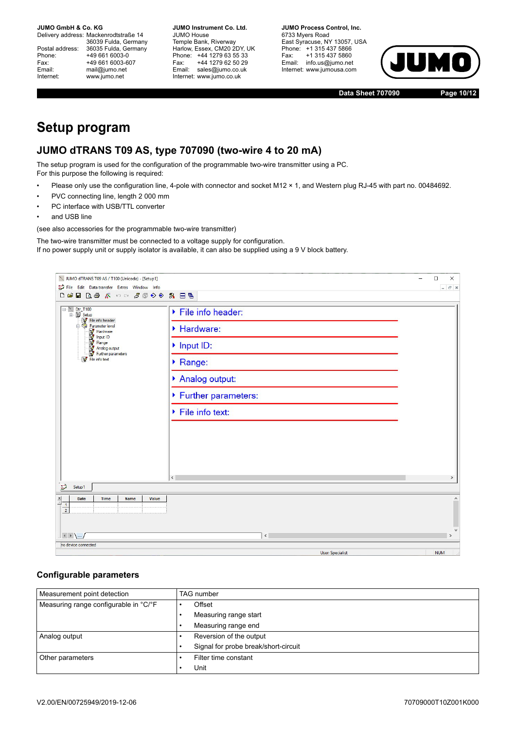Delivery address: Mackenrodtstraße 14 36039 Fulda, Germany Postal address: 36035 Fulda, Germany<br>Phone: +49 661 6003-0 Phone: +49 661 6003-0<br>Fax: +49 661 6003-6 Fax: +49 661 6003-607<br>
Fmail: mail@iumo.net mail@jumo.net Internet: www.jumo.net

**JUMO Instrument Co. Ltd.** JUMO House Temple Bank, Riverway Harlow, Essex, CM20 2DY, UK Phone: +44 1279 63 55 33<br>Fax: +44 1279 62 50 29 +44 1279 62 50 29 Email: sales@jumo.co.uk Internet: www.jumo.co.uk

**JUMO Process Control, Inc.** 6733 Myers Road East Syracuse, NY 13057, USA Phone: +1 315 437 5866<br>Fax: +1 315 437 5860 +1 315 437 5860 Email: info.us@jumo.net Internet: www.jumousa.com



**Data Sheet 707090 Page 10/12**

## **Setup program**

### **JUMO dTRANS T09 AS, type 707090 (two-wire 4 to 20 mA)**

The setup program is used for the configuration of the programmable two-wire transmitter using a PC. For this purpose the following is required:

- Please only use the configuration line, 4-pole with connector and socket M12 × 1, and Western plug RJ-45 with part no. 00484692.
- PVC connecting line, length 2 000 mm
- PC interface with USB/TTL converter
- and USB line

(see also accessories for the programmable two-wire transmitter)

The two-wire transmitter must be connected to a voltage supply for configuration.

If no power supply unit or supply isolator is available, it can also be supplied using a 9 V block battery.

| V JUMO dTRANS T09 AS / T100 (Unicode) - [Setup1]                                                                                                                                                                                                                                                                                                                                                                                                                                         |                                                                                                                       | $\Box$<br>$\times$       |
|------------------------------------------------------------------------------------------------------------------------------------------------------------------------------------------------------------------------------------------------------------------------------------------------------------------------------------------------------------------------------------------------------------------------------------------------------------------------------------------|-----------------------------------------------------------------------------------------------------------------------|--------------------------|
| File Edit Data transfer Extras Window Info                                                                                                                                                                                                                                                                                                                                                                                                                                               |                                                                                                                       | $ E$ $\times$            |
| $\Box \hspace{.1cm} \Box \hspace{.1cm} \Box \hspace{.1cm} \Box \hspace{.1cm} \Box \hspace{.1cm} \Box \hspace{.1cm} \Box \hspace{.1cm} \Box \hspace{.1cm} \Diamond \hspace{.1cm} \wedge \hspace{.1cm} \Diamond \hspace{.1cm} \Diamond \hspace{.1cm} \Diamond \hspace{.1cm} \Diamond \hspace{.1cm} \Diamond \hspace{.1cm} \Diamond \hspace{.1cm} \Diamond \hspace{.1cm} \Diamond \hspace{.1cm} \Diamond \hspace{.1cm} \Diamond \hspace{.1cm} \Diamond \hspace{.1cm} \Diamond \hspace{.1cm$ |                                                                                                                       |                          |
| $\Box$ Dtr_T100<br>B Setup<br>File info header<br>Parameter level<br><b>We Hardware</b><br><b>We Hange</b><br><b>We Hange</b><br><b>We Hange</b><br><b>We Further parameters</b><br>File info text                                                                                                                                                                                                                                                                                       | File info header:<br>Hardware:<br>Input ID:<br>Range:<br>Analog output:<br>▶ Further parameters:<br>▶ File info text: |                          |
|                                                                                                                                                                                                                                                                                                                                                                                                                                                                                          | $\langle$                                                                                                             | $\mathbf{v}$             |
| $\Rightarrow$<br>Setup <sub>1</sub>                                                                                                                                                                                                                                                                                                                                                                                                                                                      |                                                                                                                       |                          |
| $\frac{\mathbf{x}}{\ \cdot\ }$<br><b>Date</b><br>Time<br><b>Name</b><br>Value<br>$\frac{1}{2}$                                                                                                                                                                                                                                                                                                                                                                                           |                                                                                                                       | $\wedge$<br>$\checkmark$ |
| $\vert + \rangle$                                                                                                                                                                                                                                                                                                                                                                                                                                                                        | $\vert \cdot \vert$                                                                                                   | $\rightarrow$            |
| no device connected                                                                                                                                                                                                                                                                                                                                                                                                                                                                      |                                                                                                                       |                          |
|                                                                                                                                                                                                                                                                                                                                                                                                                                                                                          | <b>Hear Spacialist</b>                                                                                                | <b>MIIIM</b>             |

#### **Configurable parameters**

| Measurement point detection           | <b>TAG</b> number                    |  |  |
|---------------------------------------|--------------------------------------|--|--|
| Measuring range configurable in °C/°F | Offset                               |  |  |
|                                       | Measuring range start                |  |  |
|                                       | Measuring range end                  |  |  |
| Analog output                         | Reversion of the output              |  |  |
|                                       | Signal for probe break/short-circuit |  |  |
| Other parameters                      | Filter time constant                 |  |  |
|                                       | Unit                                 |  |  |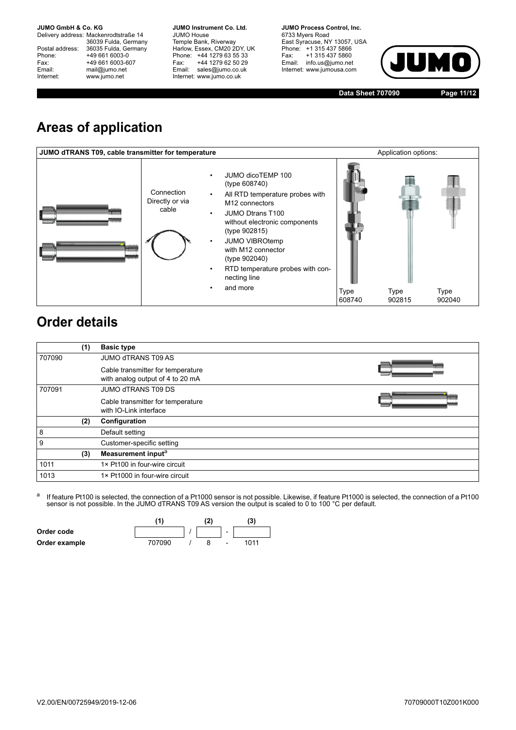Delivery address: Mackenrodtstraße 14 36039 Fulda, Germany Postal address: 36035 Fulda, Germany<br>Phone: +49 661 6003-0 Phone: +49 661 6003-0<br>
Fax: +49 661 6003-6<br>
Email: mail@jumo.net +49 661 6003-607 mail@jumo.net Internet: www.jumo.net

**JUMO Instrument Co. Ltd.** JUMO House Temple Bank, Riverway<br>Harlow, Essex, CM20 2DY, UK Phone: +44 1279 63 55 33<br>Fax: +44 1279 62 50 29 +44 1279 62 50 29 Email: sales@jumo.co.uk Internet: www.jumo.co.uk

**JUMO Process Control, Inc.** 6733 Myers Road East Syracuse, NY 13057, USA Phone: +1 315 437 5866<br>Fax: +1 315 437 5860 Email: info.us@jumo.net Internet: www.jumousa.com



**Data Sheet 707090 Page 11/12**

# **Areas of application**



# **Order details**

|        | (1) | <b>Basic type</b>                 |  |
|--------|-----|-----------------------------------|--|
| 707090 |     | <b>JUMO dTRANS T09 AS</b>         |  |
|        |     | Cable transmitter for temperature |  |
|        |     | with analog output of 4 to 20 mA  |  |
| 707091 |     | <b>JUMO dTRANS T09 DS</b>         |  |
|        |     | Cable transmitter for temperature |  |
|        |     | with IO-Link interface            |  |
|        | (2) | Configuration                     |  |
| 8      |     | Default setting                   |  |
| 9      |     | Customer-specific setting         |  |
|        | (3) | Measurement input <sup>a</sup>    |  |
| 1011   |     | 1× Pt100 in four-wire circuit     |  |
| 1013   |     | 1× Pt1000 in four-wire circuit    |  |

<sup>a</sup> If feature Pt100 is selected, the connection of a Pt1000 sensor is not possible. Likewise, if feature Pt1000 is selected, the connection of a Pt100 sensor is not possible. In the JUMO dTRANS T09 AS version the output is scaled to 0 to 100 °C per default.

|               | (1     | 12) |                              | (3)  |
|---------------|--------|-----|------------------------------|------|
| Order code    |        |     | $\blacksquare$               |      |
| Order example | 707090 |     | $\qquad \qquad \blacksquare$ | 1011 |